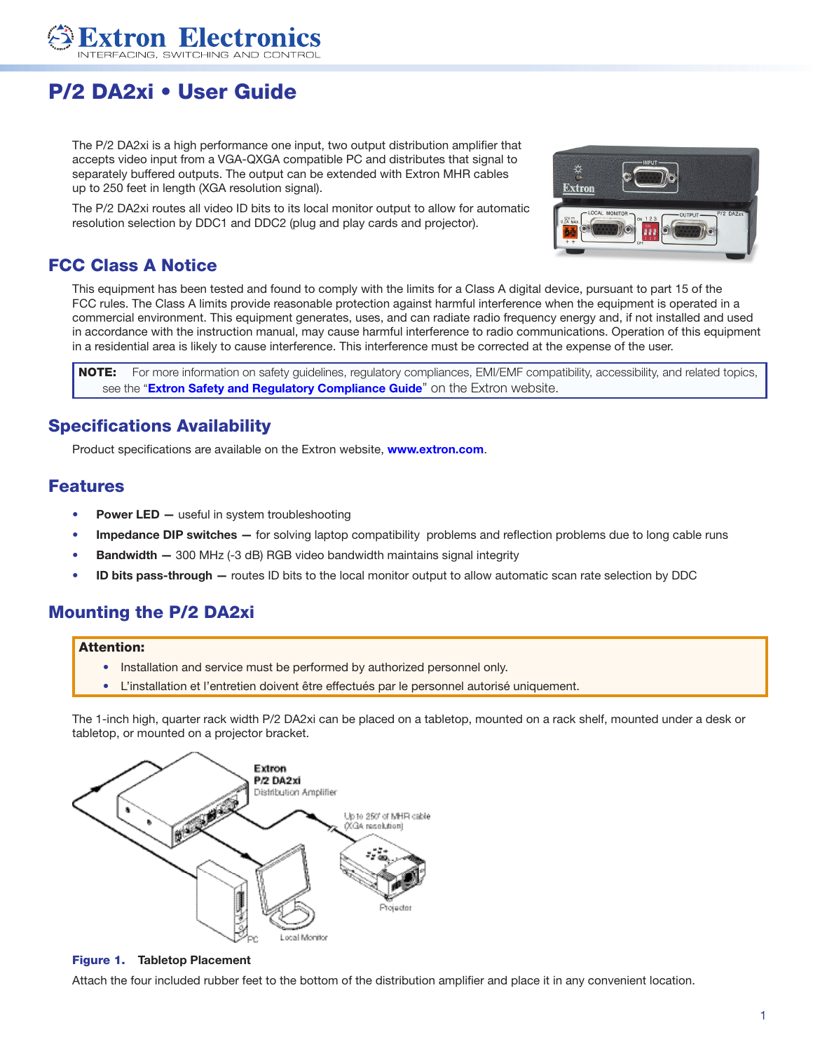

# P/2 DA2xi • User Guide

The P/2 DA2xi is a high performance one input, two output distribution amplifier that accepts video input from a VGA-QXGA compatible PC and distributes that signal to separately buffered outputs. The output can be extended with Extron MHR cables up to 250 feet in length (XGA resolution signal).

The P/2 DA2xi routes all video ID bits to its local monitor output to allow for automatic resolution selection by DDC1 and DDC2 (plug and play cards and projector).



# FCC Class A Notice

This equipment has been tested and found to comply with the limits for a Class A digital device, pursuant to part 15 of the FCC rules. The Class A limits provide reasonable protection against harmful interference when the equipment is operated in a commercial environment. This equipment generates, uses, and can radiate radio frequency energy and, if not installed and used in accordance with the instruction manual, may cause harmful interference to radio communications. Operation of this equipment in a residential area is likely to cause interference. This interference must be corrected at the expense of the user.

NOTE: For more information on safety guidelines, regulatory compliances, EMI/EMF compatibility, accessibility, and related topics, see the "[Extron Safety and Regulatory Compliance Guide](http://www.extron.com/download/files/userman/68-290-01_K.pdf)" on the Extron website.

# Specifications Availability

Product specifications are available on the Extron website, **[www.extron.com](http://www.extron.com)**.

# Features

- **Power LED** useful in system troubleshooting
- Impedance DIP switches for solving laptop compatibility problems and reflection problems due to long cable runs
- Bandwidth 300 MHz (-3 dB) RGB video bandwidth maintains signal integrity
- ID bits pass-through routes ID bits to the local monitor output to allow automatic scan rate selection by DDC

# Mounting the P/2 DA2xi

#### Attention:

- Installation and service must be performed by authorized personnel only.
- L'installation et l'entretien doivent être effectués par le personnel autorisé uniquement.

The 1-inch high, quarter rack width P/2 DA2xi can be placed on a tabletop, mounted on a rack shelf, mounted under a desk or tabletop, or mounted on a projector bracket.



#### Figure 1. Tabletop Placement

Attach the four included rubber feet to the bottom of the distribution amplifier and place it in any convenient location.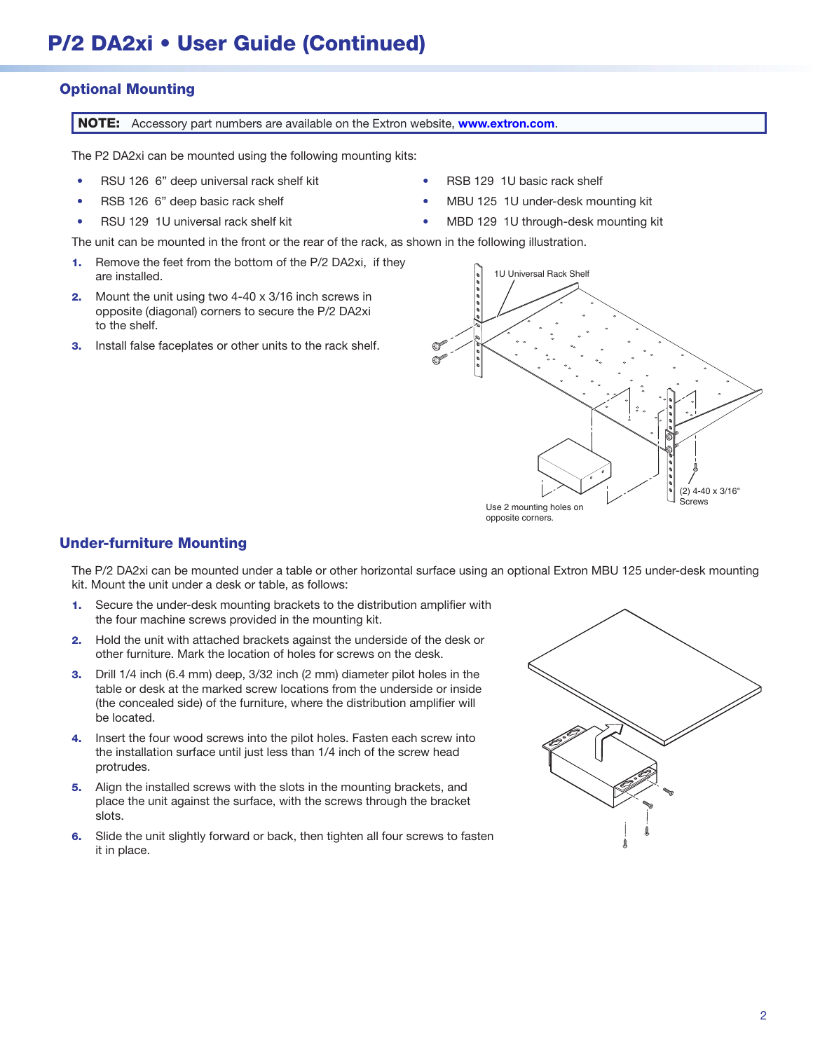#### Optional Mounting

NOTE: Accessory part numbers are available on the Extron website, **[www.extron.com](http://www.extron.com).** 

The P2 DA2xi can be mounted using the following mounting kits:

- RSU 126 6" deep universal rack shelf kit
- RSB 126 6" deep basic rack shelf
- RSU 129 1U universal rack shelf kit
- RSB 129 1U basic rack shelf
- MBU 125 1U under-desk mounting kit
- MBD 129 1U through-desk mounting kit

The unit can be mounted in the front or the rear of the rack, as shown in the following illustration.

- 1. Remove the feet from the bottom of the P/2 DA2xi, if they are installed. The installed in the interval Rack Shelf are installed.
- **2.** Mount the unit using two 4-40 x 3/16 inch screws in opposite (diagonal) corners to secure the P/2 DA2xi to the shelf.
- **3.** Install false faceplates or other units to the rack shelf.



#### Under-furniture Mounting

The P/2 DA2xi can be mounted under a table or other horizontal surface using an optional Extron MBU 125 under-desk mounting kit. Mount the unit under a desk or table, as follows:

- 1. Secure the under-desk mounting brackets to the distribution amplifier with the four machine screws provided in the mounting kit.
- 2. Hold the unit with attached brackets against the underside of the desk or other furniture. Mark the location of holes for screws on the desk.
- 3. Drill 1/4 inch (6.4 mm) deep, 3/32 inch (2 mm) diameter pilot holes in the table or desk at the marked screw locations from the underside or inside (the concealed side) of the furniture, where the distribution amplifier will be located.
- 4. Insert the four wood screws into the pilot holes. Fasten each screw into the installation surface until just less than 1/4 inch of the screw head protrudes.
- 5. Align the installed screws with the slots in the mounting brackets, and place the unit against the surface, with the screws through the bracket slots.
- 6. Slide the unit slightly forward or back, then tighten all four screws to fasten it in place.

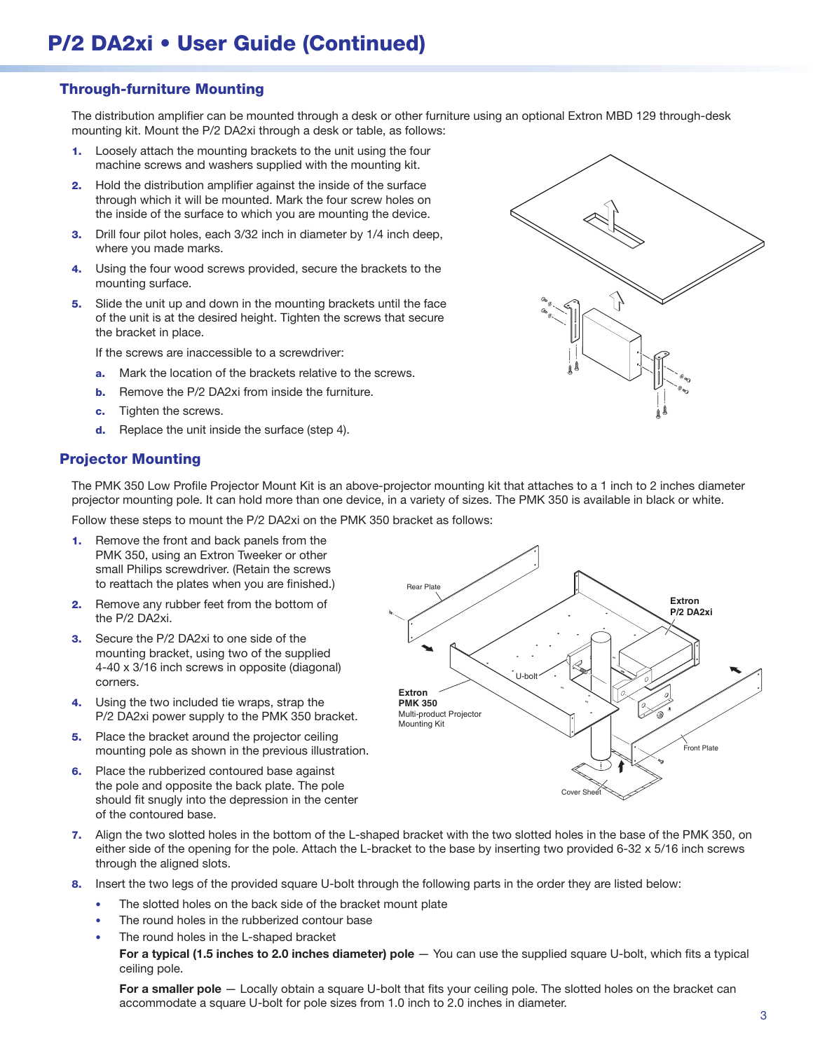## Through-furniture Mounting

The distribution amplifier can be mounted through a desk or other furniture using an optional Extron MBD 129 through-desk mounting kit. Mount the P/2 DA2xi through a desk or table, as follows:

- 1. Loosely attach the mounting brackets to the unit using the four machine screws and washers supplied with the mounting kit.
- 2. Hold the distribution amplifier against the inside of the surface through which it will be mounted. Mark the four screw holes on the inside of the surface to which you are mounting the device.
- **3.** Drill four pilot holes, each 3/32 inch in diameter by 1/4 inch deep, where you made marks.
- 4. Using the four wood screws provided, secure the brackets to the mounting surface.
- 5. Slide the unit up and down in the mounting brackets until the face of the unit is at the desired height. Tighten the screws that secure the bracket in place.

If the screws are inaccessible to a screwdriver:

- a. Mark the location of the brackets relative to the screws.
- **b.** Remove the P/2 DA2xi from inside the furniture.
- c. Tighten the screws.
- d. Replace the unit inside the surface (step 4).

#### Projector Mounting

The PMK 350 Low Profile Projector Mount Kit is an above-projector mounting kit that attaches to a 1 inch to 2 inches diameter projector mounting pole. It can hold more than one device, in a variety of sizes. The PMK 350 is available in black or white.

Follow these steps to mount the P/2 DA2xi on the PMK 350 bracket as follows:

- 1. Remove the front and back panels from the PMK 350, using an Extron Tweeker or other small Philips screwdriver. (Retain the screws to reattach the plates when you are finished.)
- 2. Remove any rubber feet from the bottom of the P/2 DA2xi.
- **3.** Secure the P/2 DA2xi to one side of the mounting bracket, using two of the supplied 4-40 x 3/16 inch screws in opposite (diagonal) corners.
- 4. Using the two included tie wraps, strap the P/2 DA2xi power supply to the PMK 350 bracket.
- **5.** Place the bracket around the projector ceiling mounting pole as shown in the previous illustration.
- **6.** Place the rubberized contoured base against the pole and opposite the back plate. The pole should fit snugly into the depression in the center of the contoured base.



- 7. Align the two slotted holes in the bottom of the L-shaped bracket with the two slotted holes in the base of the PMK 350, on either side of the opening for the pole. Attach the L-bracket to the base by inserting two provided 6-32 x 5/16 inch screws through the aligned slots.
- 8. Insert the two legs of the provided square U-bolt through the following parts in the order they are listed below:
	- The slotted holes on the back side of the bracket mount plate
	- The round holes in the rubberized contour base
	- The round holes in the L-shaped bracket

For a typical (1.5 inches to 2.0 inches diameter) pole - You can use the supplied square U-bolt, which fits a typical ceiling pole.

For a smaller pole — Locally obtain a square U-bolt that fits your ceiling pole. The slotted holes on the bracket can accommodate a square U-bolt for pole sizes from 1.0 inch to 2.0 inches in diameter.

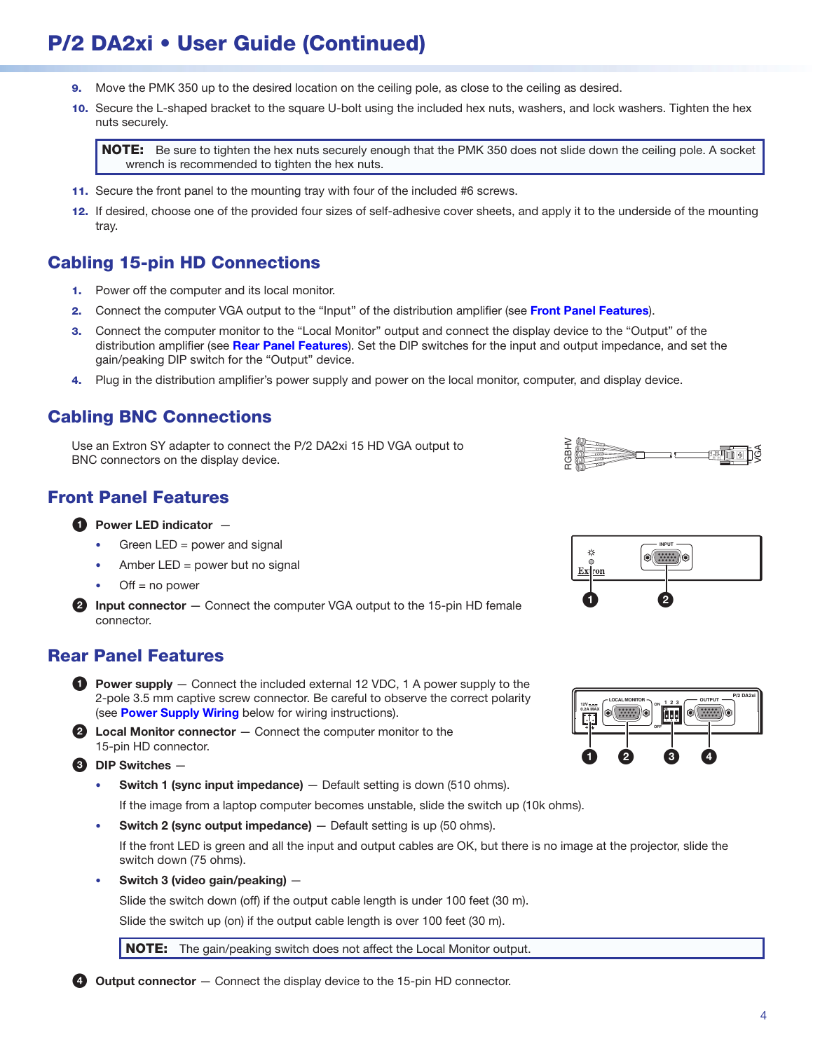# P/2 DA2xi • User Guide (Continued)

- 9. Move the PMK 350 up to the desired location on the ceiling pole, as close to the ceiling as desired.
- 10. Secure the L-shaped bracket to the square U-bolt using the included hex nuts, washers, and lock washers. Tighten the hex nuts securely.

NOTE: Be sure to tighten the hex nuts securely enough that the PMK 350 does not slide down the ceiling pole. A socket wrench is recommended to tighten the hex nuts.

- 11. Secure the front panel to the mounting tray with four of the included #6 screws.
- 12. If desired, choose one of the provided four sizes of self-adhesive cover sheets, and apply it to the underside of the mounting tray.

# Cabling 15-pin HD Connections

- 1. Power off the computer and its local monitor.
- 2. Connect the computer VGA output to the "Input" of the distribution amplifier (see [Front Panel Features](#page-3-0)).
- 3. Connect the computer monitor to the "Local Monitor" output and connect the display device to the "Output" of the distribution amplifier (see [Rear Panel Features](#page-3-1)). Set the DIP switches for the input and output impedance, and set the gain/peaking DIP switch for the "Output" device.
- 4. Plug in the distribution amplifier's power supply and power on the local monitor, computer, and display device.

## Cabling BNC Connections

Use an Extron SY adapter to connect the P/2 DA2xi 15 HD VGA output to BNC connectors on the display device.

# <span id="page-3-0"></span>Front Panel Features

#### $\bullet$  Power LED indicator  $-$

- Green LED = power and signal
- Amber  $LED = power$  but no signal
- $Off = no power$

**2** Input connector  $-$  Connect the computer VGA output to the 15-pin HD female connector.

### <span id="page-3-1"></span>Rear Panel Features

- **1** Power supply  $-$  Connect the included external 12 VDC, 1 A power supply to the 2-pole 3.5 mm captive screw connector. Be careful to observe the correct polarity (see [Power Supply Wiring](#page-4-0) below for wiring instructions).
- $\bullet$  Local Monitor connector  $-$  Connect the computer monitor to the 15-pin HD connector.
- **3** DIP Switches
	- **Switch 1 (sync input impedance)**  $-$  Default setting is down (510 ohms).

If the image from a laptop computer becomes unstable, slide the switch up (10k ohms).

**Switch 2 (sync output impedance)**  $-$  Default setting is up (50 ohms).

If the front LED is green and all the input and output cables are OK, but there is no image at the projector, slide the switch down (75 ohms).

• Switch 3 (video gain/peaking) —

Slide the switch down (off) if the output cable length is under 100 feet (30 m).

Slide the switch up (on) if the output cable length is over 100 feet (30 m).

**NOTE:** The gain/peaking switch does not affect the Local Monitor output.

4 Output connector - Connect the display device to the 15-pin HD connector.



VGA

RGBHV